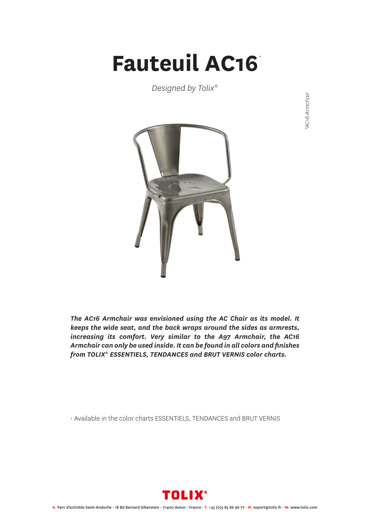## **Fauteuil AC16** *\**

*Designed by Tolix®*





*The AC16 Armchair was envisioned using the AC Chair as its model. It keeps the wide seat, and the back wraps around the sides as armrests, increasing its comfort. Very similar to the A97 Armchair, the AC16 Armchair can only be used inside. It can be found in all colors and finishes from TOLIX® ESSENTIELS, TENDANCES and BRUT VERNIS color charts.*

• Available in the color charts ESSENTIELS, TENDANCES and BRUT VERNIS